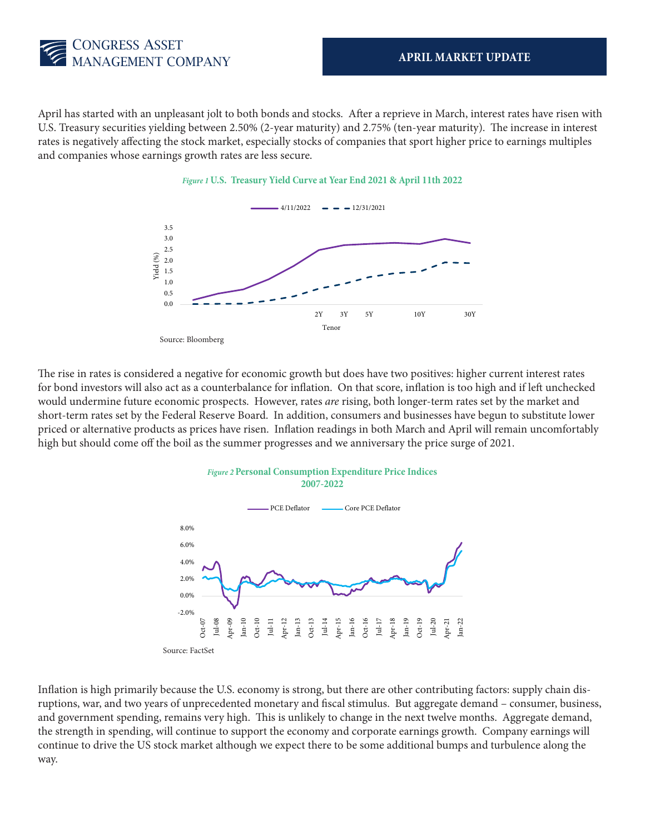

April has started with an unpleasant jolt to both bonds and stocks. After a reprieve in March, interest rates have risen with U.S. Treasury securities yielding between 2.50% (2-year maturity) and 2.75% (ten-year maturity). The increase in interest rates is negatively affecting the stock market, especially stocks of companies that sport higher price to earnings multiples and companies whose earnings growth rates are less secure.



*Figure 1* **U.S. Treasury Yield Curve at Year End 2021 & April 11th 2022**

The rise in rates is considered a negative for economic growth but does have two positives: higher current interest rates for bond investors will also act as a counterbalance for inflation. On that score, inflation is too high and if left unchecked would undermine future economic prospects. However, rates *are* rising, both longer-term rates set by the market and short-term rates set by the Federal Reserve Board. In addition, consumers and businesses have begun to substitute lower priced or alternative products as prices have risen. Inflation readings in both March and April will remain uncomfortably high but should come off the boil as the summer progresses and we anniversary the price surge of 2021.



Inflation is high primarily because the U.S. economy is strong, but there are other contributing factors: supply chain disruptions, war, and two years of unprecedented monetary and fiscal stimulus. But aggregate demand – consumer, business, and government spending, remains very high. This is unlikely to change in the next twelve months. Aggregate demand, the strength in spending, will continue to support the economy and corporate earnings growth. Company earnings will continue to drive the US stock market although we expect there to be some additional bumps and turbulence along the way.